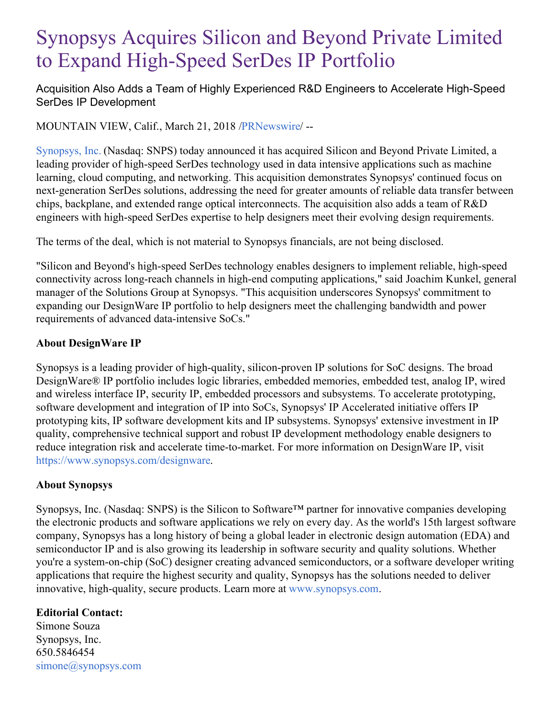## Synopsys Acquires Silicon and Beyond Private Limited to Expand High-Speed SerDes IP Portfolio

Acquisition Also Adds a Team of Highly Experienced R&D Engineers to Accelerate High-Speed SerDes IP Development

MOUNTAIN VIEW, Calif., March 21, 2018 [/PRNewswire](http://www.prnewswire.com/)/ --

[Synopsys,](https://www.synopsys.com/) Inc. (Nasdaq: SNPS) today announced it has acquired Silicon and Beyond Private Limited, a leading provider of high-speed SerDes technology used in data intensive applications such as machine learning, cloud computing, and networking. This acquisition demonstrates Synopsys' continued focus on next-generation SerDes solutions, addressing the need for greater amounts of reliable data transfer between chips, backplane, and extended range optical interconnects. The acquisition also adds a team of R&D engineers with high-speed SerDes expertise to help designers meet their evolving design requirements.

The terms of the deal, which is not material to Synopsys financials, are not being disclosed.

"Silicon and Beyond's high-speed SerDes technology enables designers to implement reliable, high-speed connectivity across long-reach channels in high-end computing applications," said Joachim Kunkel, general manager of the Solutions Group at Synopsys. "This acquisition underscores Synopsys' commitment to expanding our DesignWare IP portfolio to help designers meet the challenging bandwidth and power requirements of advanced data-intensive SoCs."

## **About DesignWare IP**

Synopsys is a leading provider of high-quality, silicon-proven IP solutions for SoC designs. The broad DesignWare® IP portfolio includes logic libraries, embedded memories, embedded test, analog IP, wired and wireless interface IP, security IP, embedded processors and subsystems. To accelerate prototyping, software development and integration of IP into SoCs, Synopsys' IP Accelerated initiative offers IP prototyping kits, IP software development kits and IP subsystems. Synopsys' extensive investment in IP quality, comprehensive technical support and robust IP development methodology enable designers to reduce integration risk and accelerate time-to-market. For more information on DesignWare IP, visit [https://www.synopsys.com/designware.](https://www.synopsys.com/designware)

## **About Synopsys**

Synopsys, Inc. (Nasdaq: SNPS) is the Silicon to Software™ partner for innovative companies developing the electronic products and software applications we rely on every day. As the world's 15th largest software company, Synopsys has a long history of being a global leader in electronic design automation (EDA) and semiconductor IP and is also growing its leadership in software security and quality solutions. Whether you're a system-on-chip (SoC) designer creating advanced semiconductors, or a software developer writing applications that require the highest security and quality, Synopsys has the solutions needed to deliver innovative, high-quality, secure products. Learn more at [www.synopsys.com](https://www.synopsys.com/).

## **Editorial Contact:**

Simone Souza Synopsys, Inc. 650.5846454 [simone@synopsys.com](mailto:simone@synopsys.com)